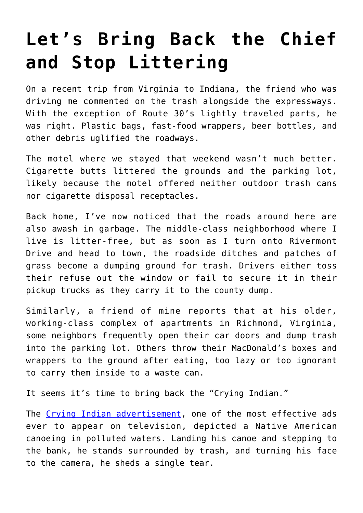## **[Let's Bring Back the Chief](https://intellectualtakeout.org/2022/03/lets-bring-back-the-chief-and-stop-littering/) [and Stop Littering](https://intellectualtakeout.org/2022/03/lets-bring-back-the-chief-and-stop-littering/)**

On a recent trip from Virginia to Indiana, the friend who was driving me commented on the trash alongside the expressways. With the exception of Route 30's lightly traveled parts, he was right. Plastic bags, fast-food wrappers, beer bottles, and other debris uglified the roadways.

The motel where we stayed that weekend wasn't much better. Cigarette butts littered the grounds and the parking lot, likely because the motel offered neither outdoor trash cans nor cigarette disposal receptacles.

Back home, I've now noticed that the roads around here are also awash in garbage. The middle-class neighborhood where I live is litter-free, but as soon as I turn onto Rivermont Drive and head to town, the roadside ditches and patches of grass become a dumping ground for trash. Drivers either toss their refuse out the window or fail to secure it in their pickup trucks as they carry it to the county dump.

Similarly, a friend of mine reports that at his older, working-class complex of apartments in Richmond, Virginia, some neighbors frequently open their car doors and dump trash into the parking lot. Others throw their MacDonald's boxes and wrappers to the ground after eating, too lazy or too ignorant to carry them inside to a waste can.

It seems it's time to bring back the "Crying Indian."

The [Crying Indian advertisement](https://www.youtube.com/watch?v=j7OHG7tHrNM), one of the most effective ads ever to appear on television, depicted a Native American canoeing in polluted waters. Landing his canoe and stepping to the bank, he stands surrounded by trash, and turning his face to the camera, he sheds a single tear.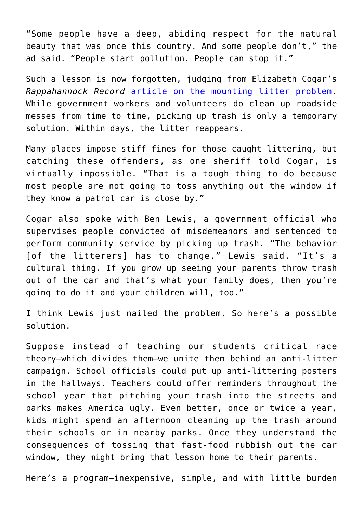"Some people have a deep, abiding respect for the natural beauty that was once this country. And some people don't," the ad said. "People start pollution. People can stop it."

Such a lesson is now forgotten, judging from Elizabeth Cogar's *Rappahannock Record* [article on the mounting litter problem.](https://rrecord.com/pick-it-up-litter-problem-is-mounting/) While government workers and volunteers do clean up roadside messes from time to time, picking up trash is only a temporary solution. Within days, the litter reappears.

Many places impose stiff fines for those caught littering, but catching these offenders, as one sheriff told Cogar, is virtually impossible. "That is a tough thing to do because most people are not going to toss anything out the window if they know a patrol car is close by."

Cogar also spoke with Ben Lewis, a government official who supervises people convicted of misdemeanors and sentenced to perform community service by picking up trash. "The behavior [of the litterers] has to change," Lewis said. "It's a cultural thing. If you grow up seeing your parents throw trash out of the car and that's what your family does, then you're going to do it and your children will, too."

I think Lewis just nailed the problem. So here's a possible solution.

Suppose instead of teaching our students critical race theory—which divides them—we unite them behind an anti-litter campaign. School officials could put up anti-littering posters in the hallways. Teachers could offer reminders throughout the school year that pitching your trash into the streets and parks makes America ugly. Even better, once or twice a year, kids might spend an afternoon cleaning up the trash around their schools or in nearby parks. Once they understand the consequences of tossing that fast-food rubbish out the car window, they might bring that lesson home to their parents.

Here's a program—inexpensive, simple, and with little burden